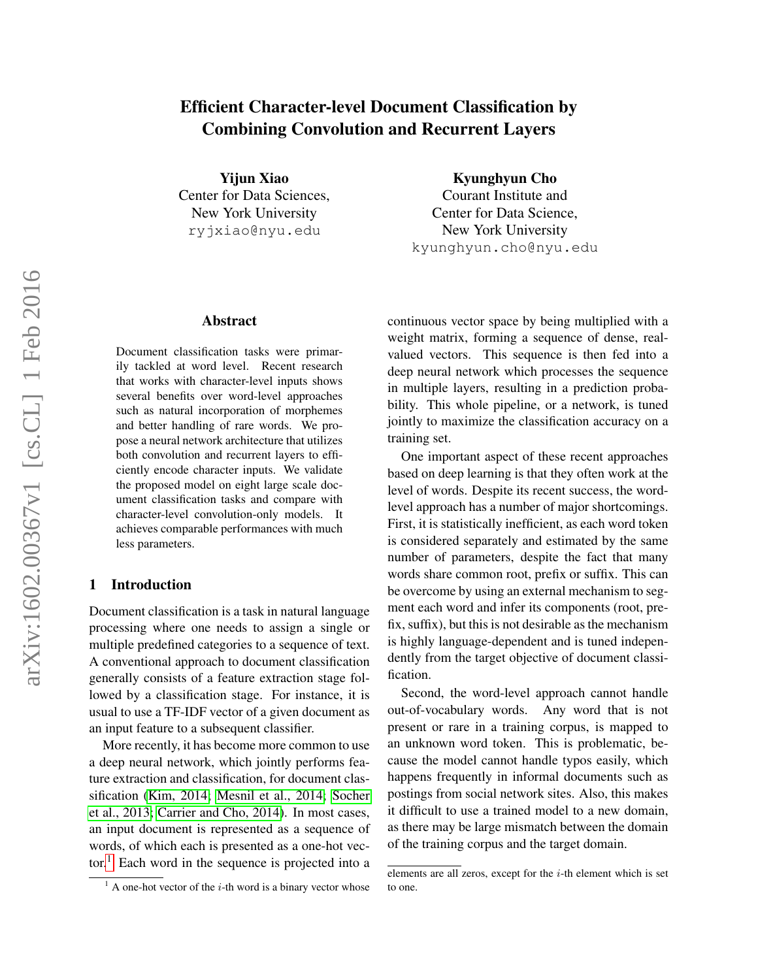# Efficient Character-level Document Classification by Combining Convolution and Recurrent Layers

Yijun Xiao Center for Data Sciences, New York University ryjxiao@nyu.edu

## Abstract

Document classification tasks were primarily tackled at word level. Recent research that works with character-level inputs shows several benefits over word-level approaches such as natural incorporation of morphemes and better handling of rare words. We propose a neural network architecture that utilizes both convolution and recurrent layers to efficiently encode character inputs. We validate the proposed model on eight large scale document classification tasks and compare with character-level convolution-only models. It achieves comparable performances with much less parameters.

## 1 Introduction

Document classification is a task in natural language processing where one needs to assign a single or multiple predefined categories to a sequence of text. A conventional approach to document classification generally consists of a feature extraction stage followed by a classification stage. For instance, it is usual to use a TF-IDF vector of a given document as an input feature to a subsequent classifier.

More recently, it has become more common to use a deep neural network, which jointly performs feature extraction and classification, for document classification [\(Kim, 2014;](#page-8-0) [Mesnil et al., 2014;](#page-8-1) [Socher](#page-8-2) [et al., 2013;](#page-8-2) [Carrier and Cho, 2014\)](#page-8-3). In most cases, an input document is represented as a sequence of words, of which each is presented as a one-hot vec-tor.<sup>[1](#page-0-0)</sup> Each word in the sequence is projected into a Kyunghyun Cho

Courant Institute and Center for Data Science, New York University kyunghyun.cho@nyu.edu

continuous vector space by being multiplied with a weight matrix, forming a sequence of dense, realvalued vectors. This sequence is then fed into a deep neural network which processes the sequence in multiple layers, resulting in a prediction probability. This whole pipeline, or a network, is tuned jointly to maximize the classification accuracy on a training set.

One important aspect of these recent approaches based on deep learning is that they often work at the level of words. Despite its recent success, the wordlevel approach has a number of major shortcomings. First, it is statistically inefficient, as each word token is considered separately and estimated by the same number of parameters, despite the fact that many words share common root, prefix or suffix. This can be overcome by using an external mechanism to segment each word and infer its components (root, prefix, suffix), but this is not desirable as the mechanism is highly language-dependent and is tuned independently from the target objective of document classification.

Second, the word-level approach cannot handle out-of-vocabulary words. Any word that is not present or rare in a training corpus, is mapped to an unknown word token. This is problematic, because the model cannot handle typos easily, which happens frequently in informal documents such as postings from social network sites. Also, this makes it difficult to use a trained model to a new domain, as there may be large mismatch between the domain of the training corpus and the target domain.

<span id="page-0-0"></span> $<sup>1</sup>$  A one-hot vector of the *i*-th word is a binary vector whose</sup>

elements are all zeros, except for the  $i$ -th element which is set to one.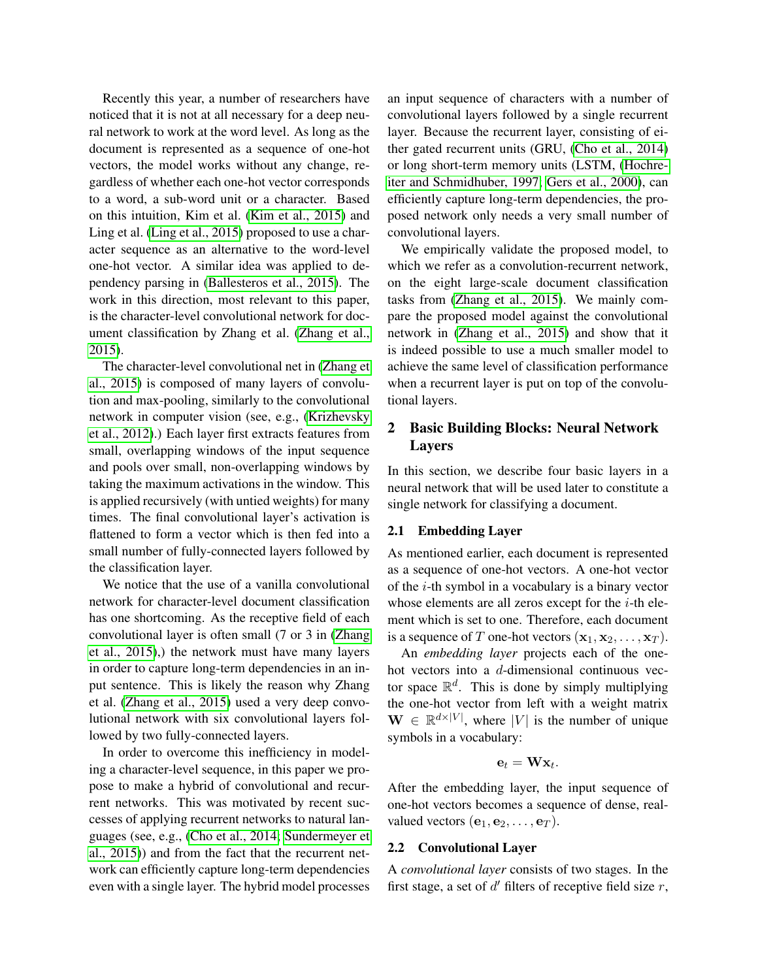Recently this year, a number of researchers have noticed that it is not at all necessary for a deep neural network to work at the word level. As long as the document is represented as a sequence of one-hot vectors, the model works without any change, regardless of whether each one-hot vector corresponds to a word, a sub-word unit or a character. Based on this intuition, Kim et al. [\(Kim et al., 2015\)](#page-8-4) and Ling et al. [\(Ling et al., 2015\)](#page-8-5) proposed to use a character sequence as an alternative to the word-level one-hot vector. A similar idea was applied to dependency parsing in [\(Ballesteros et al., 2015\)](#page-8-6). The work in this direction, most relevant to this paper, is the character-level convolutional network for document classification by Zhang et al. [\(Zhang et al.,](#page-9-0) [2015\)](#page-9-0).

The character-level convolutional net in [\(Zhang et](#page-9-0) [al., 2015\)](#page-9-0) is composed of many layers of convolution and max-pooling, similarly to the convolutional network in computer vision (see, e.g., [\(Krizhevsky](#page-8-7) [et al., 2012\)](#page-8-7).) Each layer first extracts features from small, overlapping windows of the input sequence and pools over small, non-overlapping windows by taking the maximum activations in the window. This is applied recursively (with untied weights) for many times. The final convolutional layer's activation is flattened to form a vector which is then fed into a small number of fully-connected layers followed by the classification layer.

We notice that the use of a vanilla convolutional network for character-level document classification has one shortcoming. As the receptive field of each convolutional layer is often small (7 or 3 in [\(Zhang](#page-9-0) [et al., 2015\)](#page-9-0),) the network must have many layers in order to capture long-term dependencies in an input sentence. This is likely the reason why Zhang et al. [\(Zhang et al., 2015\)](#page-9-0) used a very deep convolutional network with six convolutional layers followed by two fully-connected layers.

In order to overcome this inefficiency in modeling a character-level sequence, in this paper we propose to make a hybrid of convolutional and recurrent networks. This was motivated by recent successes of applying recurrent networks to natural languages (see, e.g., [\(Cho et al., 2014;](#page-8-8) [Sundermeyer et](#page-8-9) [al., 2015\)](#page-8-9)) and from the fact that the recurrent network can efficiently capture long-term dependencies even with a single layer. The hybrid model processes

an input sequence of characters with a number of convolutional layers followed by a single recurrent layer. Because the recurrent layer, consisting of either gated recurrent units (GRU, [\(Cho et al., 2014\)](#page-8-8) or long short-term memory units (LSTM, [\(Hochre](#page-8-10)[iter and Schmidhuber, 1997;](#page-8-10) [Gers et al., 2000\)](#page-8-11), can efficiently capture long-term dependencies, the proposed network only needs a very small number of convolutional layers.

We empirically validate the proposed model, to which we refer as a convolution-recurrent network, on the eight large-scale document classification tasks from [\(Zhang et al., 2015\)](#page-9-0). We mainly compare the proposed model against the convolutional network in [\(Zhang et al., 2015\)](#page-9-0) and show that it is indeed possible to use a much smaller model to achieve the same level of classification performance when a recurrent layer is put on top of the convolutional layers.

## 2 Basic Building Blocks: Neural Network Layers

In this section, we describe four basic layers in a neural network that will be used later to constitute a single network for classifying a document.

## <span id="page-1-1"></span>2.1 Embedding Layer

As mentioned earlier, each document is represented as a sequence of one-hot vectors. A one-hot vector of the i-th symbol in a vocabulary is a binary vector whose elements are all zeros except for the  $i$ -th element which is set to one. Therefore, each document is a sequence of T one-hot vectors  $(\mathbf{x}_1, \mathbf{x}_2, \dots, \mathbf{x}_T)$ .

An *embedding layer* projects each of the onehot vectors into a d-dimensional continuous vector space  $\mathbb{R}^d$ . This is done by simply multiplying the one-hot vector from left with a weight matrix  $\mathbf{W} \in \mathbb{R}^{d \times |V|}$ , where |V| is the number of unique symbols in a vocabulary:

$$
\mathbf{e}_t = \mathbf{W} \mathbf{x}_t.
$$

After the embedding layer, the input sequence of one-hot vectors becomes a sequence of dense, realvalued vectors  $(\mathbf{e}_1, \mathbf{e}_2, \dots, \mathbf{e}_T)$ .

## <span id="page-1-0"></span>2.2 Convolutional Layer

A *convolutional layer* consists of two stages. In the first stage, a set of  $d'$  filters of receptive field size  $r$ ,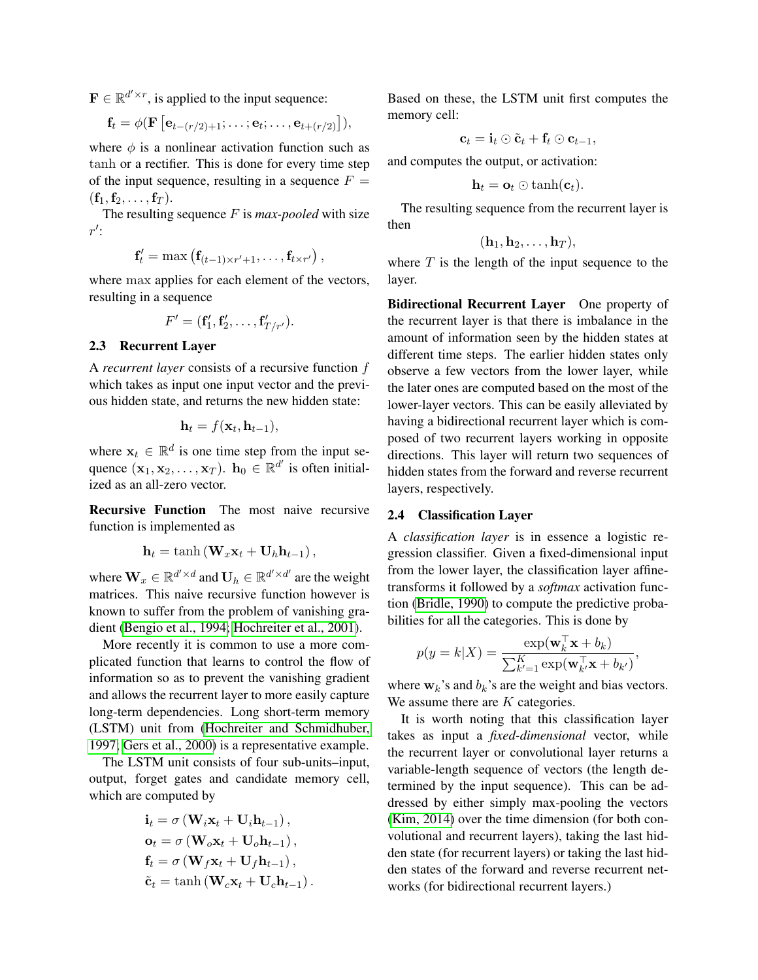$\mathbf{F} \in \mathbb{R}^{d' \times r}$ , is applied to the input sequence:

$$
\mathbf{f}_t = \phi(\mathbf{F}\left[\mathbf{e}_{t-(r/2)+1}; \ldots; \mathbf{e}_t; \ldots, \mathbf{e}_{t+(r/2)}\right]),
$$

where  $\phi$  is a nonlinear activation function such as tanh or a rectifier. This is done for every time step of the input sequence, resulting in a sequence  $F =$  $({\bf f}_1, {\bf f}_2, \ldots, {\bf f}_T).$ 

The resulting sequence F is *max-pooled* with size  $r^{\prime}$ :

$$
\mathbf{f}'_t = \max\left(\mathbf{f}_{(t-1)\times r'+1}, \ldots, \mathbf{f}_{t\times r'}\right),
$$

where max applies for each element of the vectors, resulting in a sequence

$$
F'=(\mathbf{f}'_1, \mathbf{f}'_2, \ldots, \mathbf{f}'_{T/r'}).
$$

## <span id="page-2-0"></span>2.3 Recurrent Layer

A *recurrent layer* consists of a recursive function f which takes as input one input vector and the previous hidden state, and returns the new hidden state:

$$
\mathbf{h}_t = f(\mathbf{x}_t, \mathbf{h}_{t-1}),
$$

where  $x_t \in \mathbb{R}^d$  is one time step from the input sequence  $(\mathbf{x}_1, \mathbf{x}_2, \dots, \mathbf{x}_T)$ .  $\mathbf{h}_0 \in \mathbb{R}^{d'}$  is often initialized as an all-zero vector.

Recursive Function The most naive recursive function is implemented as

$$
\mathbf{h}_t = \tanh\left(\mathbf{W}_x \mathbf{x}_t + \mathbf{U}_h \mathbf{h}_{t-1}\right),\,
$$

where  $\mathbf{W}_x \in \mathbb{R}^{d' \times d}$  and  $\mathbf{U}_h \in \mathbb{R}^{d' \times d'}$  are the weight matrices. This naive recursive function however is known to suffer from the problem of vanishing gradient [\(Bengio et al., 1994;](#page-8-12) [Hochreiter et al., 2001\)](#page-8-13).

More recently it is common to use a more complicated function that learns to control the flow of information so as to prevent the vanishing gradient and allows the recurrent layer to more easily capture long-term dependencies. Long short-term memory (LSTM) unit from [\(Hochreiter and Schmidhuber,](#page-8-10) [1997;](#page-8-10) [Gers et al., 2000\)](#page-8-11) is a representative example.

The LSTM unit consists of four sub-units–input, output, forget gates and candidate memory cell, which are computed by

$$
\mathbf{i}_t = \sigma \left( \mathbf{W}_i \mathbf{x}_t + \mathbf{U}_i \mathbf{h}_{t-1} \right),
$$
  
\n
$$
\mathbf{o}_t = \sigma \left( \mathbf{W}_o \mathbf{x}_t + \mathbf{U}_o \mathbf{h}_{t-1} \right),
$$
  
\n
$$
\mathbf{f}_t = \sigma \left( \mathbf{W}_f \mathbf{x}_t + \mathbf{U}_f \mathbf{h}_{t-1} \right),
$$
  
\n
$$
\tilde{\mathbf{c}}_t = \tanh \left( \mathbf{W}_c \mathbf{x}_t + \mathbf{U}_c \mathbf{h}_{t-1} \right).
$$

Based on these, the LSTM unit first computes the memory cell:

$$
\mathbf{c}_t = \mathbf{i}_t \odot \tilde{\mathbf{c}}_t + \mathbf{f}_t \odot \mathbf{c}_{t-1},
$$

and computes the output, or activation:

$$
\mathbf{h}_t = \mathbf{o}_t \odot \tanh(\mathbf{c}_t).
$$

The resulting sequence from the recurrent layer is then

$$
(\mathbf{h}_1, \mathbf{h}_2, \ldots, \mathbf{h}_T),
$$

where  $T$  is the length of the input sequence to the layer.

Bidirectional Recurrent Layer One property of the recurrent layer is that there is imbalance in the amount of information seen by the hidden states at different time steps. The earlier hidden states only observe a few vectors from the lower layer, while the later ones are computed based on the most of the lower-layer vectors. This can be easily alleviated by having a bidirectional recurrent layer which is composed of two recurrent layers working in opposite directions. This layer will return two sequences of hidden states from the forward and reverse recurrent layers, respectively.

#### 2.4 Classification Layer

A *classification layer* is in essence a logistic regression classifier. Given a fixed-dimensional input from the lower layer, the classification layer affinetransforms it followed by a *softmax* activation function [\(Bridle, 1990\)](#page-8-14) to compute the predictive probabilities for all the categories. This is done by

$$
p(y = k|X) = \frac{\exp(\mathbf{w}_k^{\top} \mathbf{x} + b_k)}{\sum_{k'=1}^{K} \exp(\mathbf{w}_{k'}^{\top} \mathbf{x} + b_{k'})},
$$

where  $w_k$ 's and  $b_k$ 's are the weight and bias vectors. We assume there are K categories.

It is worth noting that this classification layer takes as input a *fixed-dimensional* vector, while the recurrent layer or convolutional layer returns a variable-length sequence of vectors (the length determined by the input sequence). This can be addressed by either simply max-pooling the vectors [\(Kim, 2014\)](#page-8-0) over the time dimension (for both convolutional and recurrent layers), taking the last hidden state (for recurrent layers) or taking the last hidden states of the forward and reverse recurrent networks (for bidirectional recurrent layers.)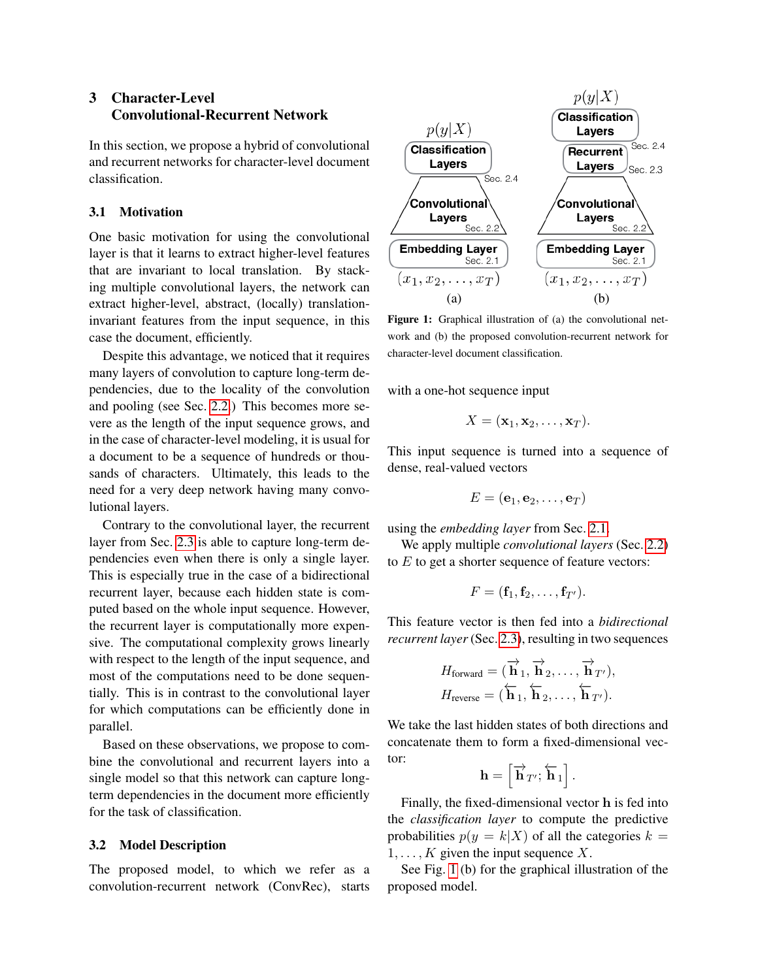## 3 Character-Level Convolutional-Recurrent Network

In this section, we propose a hybrid of convolutional and recurrent networks for character-level document classification.

## <span id="page-3-1"></span>3.1 Motivation

One basic motivation for using the convolutional layer is that it learns to extract higher-level features that are invariant to local translation. By stacking multiple convolutional layers, the network can extract higher-level, abstract, (locally) translationinvariant features from the input sequence, in this case the document, efficiently.

Despite this advantage, we noticed that it requires many layers of convolution to capture long-term dependencies, due to the locality of the convolution and pooling (see Sec. [2.2.](#page-1-0)) This becomes more severe as the length of the input sequence grows, and in the case of character-level modeling, it is usual for a document to be a sequence of hundreds or thousands of characters. Ultimately, this leads to the need for a very deep network having many convolutional layers.

Contrary to the convolutional layer, the recurrent layer from Sec. [2.3](#page-2-0) is able to capture long-term dependencies even when there is only a single layer. This is especially true in the case of a bidirectional recurrent layer, because each hidden state is computed based on the whole input sequence. However, the recurrent layer is computationally more expensive. The computational complexity grows linearly with respect to the length of the input sequence, and most of the computations need to be done sequentially. This is in contrast to the convolutional layer for which computations can be efficiently done in parallel.

Based on these observations, we propose to combine the convolutional and recurrent layers into a single model so that this network can capture longterm dependencies in the document more efficiently for the task of classification.

#### 3.2 Model Description

The proposed model, to which we refer as a convolution-recurrent network (ConvRec), starts



<span id="page-3-0"></span>Figure 1: Graphical illustration of (a) the convolutional network and (b) the proposed convolution-recurrent network for character-level document classification.

with a one-hot sequence input

$$
X = (\mathbf{x}_1, \mathbf{x}_2, \dots, \mathbf{x}_T).
$$

This input sequence is turned into a sequence of dense, real-valued vectors

$$
E=(\mathbf{e}_1, \mathbf{e}_2, \ldots, \mathbf{e}_T)
$$

using the *embedding layer* from Sec. [2.1.](#page-1-1)

We apply multiple *convolutional layers* (Sec. [2.2\)](#page-1-0) to  $E$  to get a shorter sequence of feature vectors:

$$
F=(\mathbf{f}_1,\mathbf{f}_2,\ldots,\mathbf{f}_{T'}).
$$

This feature vector is then fed into a *bidirectional recurrent layer* (Sec. [2.3\)](#page-2-0), resulting in two sequences

$$
H_{\text{forward}} = (\overrightarrow{\mathbf{h}}_1, \overrightarrow{\mathbf{h}}_2, \dots, \overrightarrow{\mathbf{h}}_{T'}),
$$
  

$$
H_{\text{reverse}} = (\overleftarrow{\mathbf{h}}_1, \overleftarrow{\mathbf{h}}_2, \dots, \overleftarrow{\mathbf{h}}_{T'}).
$$

We take the last hidden states of both directions and concatenate them to form a fixed-dimensional vector:

$$
\mathbf{h}=\left[\overrightarrow{\mathbf{h}}_{T'};\overleftarrow{\mathbf{h}}_{1}\right].
$$

Finally, the fixed-dimensional vector h is fed into the *classification layer* to compute the predictive probabilities  $p(y = k|X)$  of all the categories  $k =$  $1, \ldots, K$  given the input sequence X.

See Fig. [1](#page-3-0) (b) for the graphical illustration of the proposed model.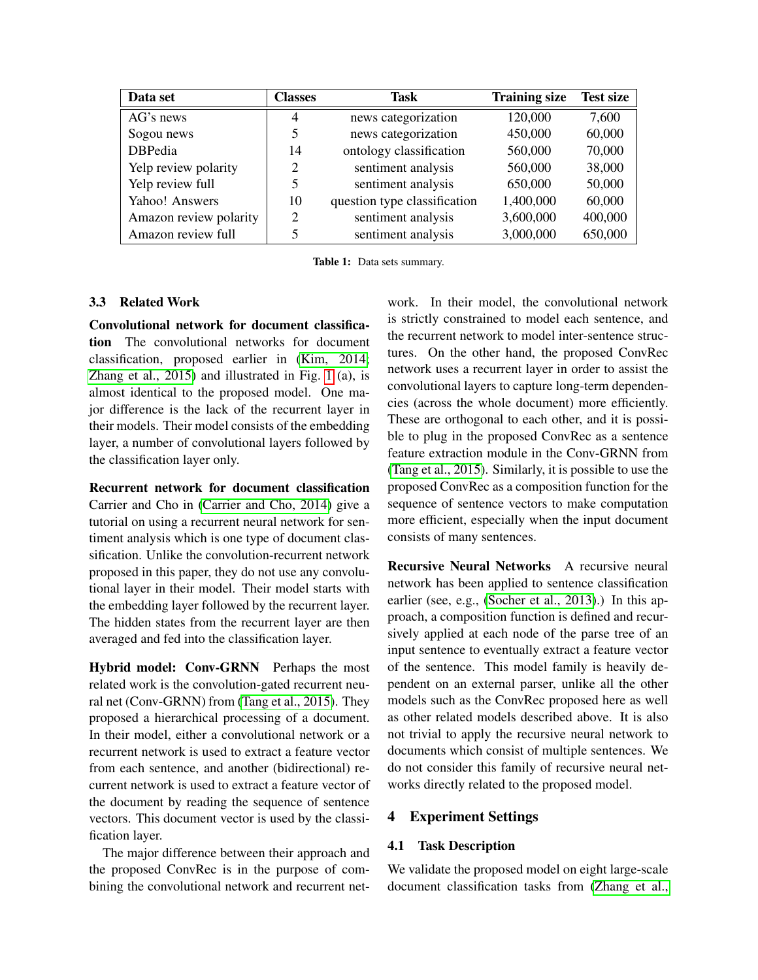| Data set               | <b>Classes</b> | Task                         | <b>Training size</b> | <b>Test size</b> |
|------------------------|----------------|------------------------------|----------------------|------------------|
| AG's news              | $\overline{4}$ | news categorization          | 120,000              | 7,600            |
| Sogou news             |                | news categorization          | 450,000              | 60,000           |
| <b>DBPedia</b>         | 14             | ontology classification      | 560,000              | 70,000           |
| Yelp review polarity   | 2              | sentiment analysis           | 560,000              | 38,000           |
| Yelp review full       |                | sentiment analysis           | 650,000              | 50,000           |
| Yahoo! Answers         | 10             | question type classification | 1,400,000            | 60,000           |
| Amazon review polarity | 2              | sentiment analysis           | 3,600,000            | 400,000          |
| Amazon review full     |                | sentiment analysis           | 3,000,000            | 650,000          |

<span id="page-4-0"></span>Table 1: Data sets summary.

## 3.3 Related Work

Convolutional network for document classification The convolutional networks for document classification, proposed earlier in [\(Kim, 2014;](#page-8-0) [Zhang et al., 2015\)](#page-9-0) and illustrated in Fig. [1](#page-3-0) (a), is almost identical to the proposed model. One major difference is the lack of the recurrent layer in their models. Their model consists of the embedding layer, a number of convolutional layers followed by the classification layer only.

Recurrent network for document classification Carrier and Cho in [\(Carrier and Cho, 2014\)](#page-8-3) give a tutorial on using a recurrent neural network for sentiment analysis which is one type of document classification. Unlike the convolution-recurrent network proposed in this paper, they do not use any convolutional layer in their model. Their model starts with the embedding layer followed by the recurrent layer. The hidden states from the recurrent layer are then averaged and fed into the classification layer.

Hybrid model: Conv-GRNN Perhaps the most related work is the convolution-gated recurrent neural net (Conv-GRNN) from [\(Tang et al., 2015\)](#page-8-15). They proposed a hierarchical processing of a document. In their model, either a convolutional network or a recurrent network is used to extract a feature vector from each sentence, and another (bidirectional) recurrent network is used to extract a feature vector of the document by reading the sequence of sentence vectors. This document vector is used by the classification layer.

The major difference between their approach and the proposed ConvRec is in the purpose of combining the convolutional network and recurrent network. In their model, the convolutional network is strictly constrained to model each sentence, and the recurrent network to model inter-sentence structures. On the other hand, the proposed ConvRec network uses a recurrent layer in order to assist the convolutional layers to capture long-term dependencies (across the whole document) more efficiently. These are orthogonal to each other, and it is possible to plug in the proposed ConvRec as a sentence feature extraction module in the Conv-GRNN from [\(Tang et al., 2015\)](#page-8-15). Similarly, it is possible to use the proposed ConvRec as a composition function for the sequence of sentence vectors to make computation more efficient, especially when the input document consists of many sentences.

Recursive Neural Networks A recursive neural network has been applied to sentence classification earlier (see, e.g., [\(Socher et al., 2013\)](#page-8-2).) In this approach, a composition function is defined and recursively applied at each node of the parse tree of an input sentence to eventually extract a feature vector of the sentence. This model family is heavily dependent on an external parser, unlike all the other models such as the ConvRec proposed here as well as other related models described above. It is also not trivial to apply the recursive neural network to documents which consist of multiple sentences. We do not consider this family of recursive neural networks directly related to the proposed model.

## 4 Experiment Settings

## 4.1 Task Description

We validate the proposed model on eight large-scale document classification tasks from [\(Zhang et al.,](#page-9-0)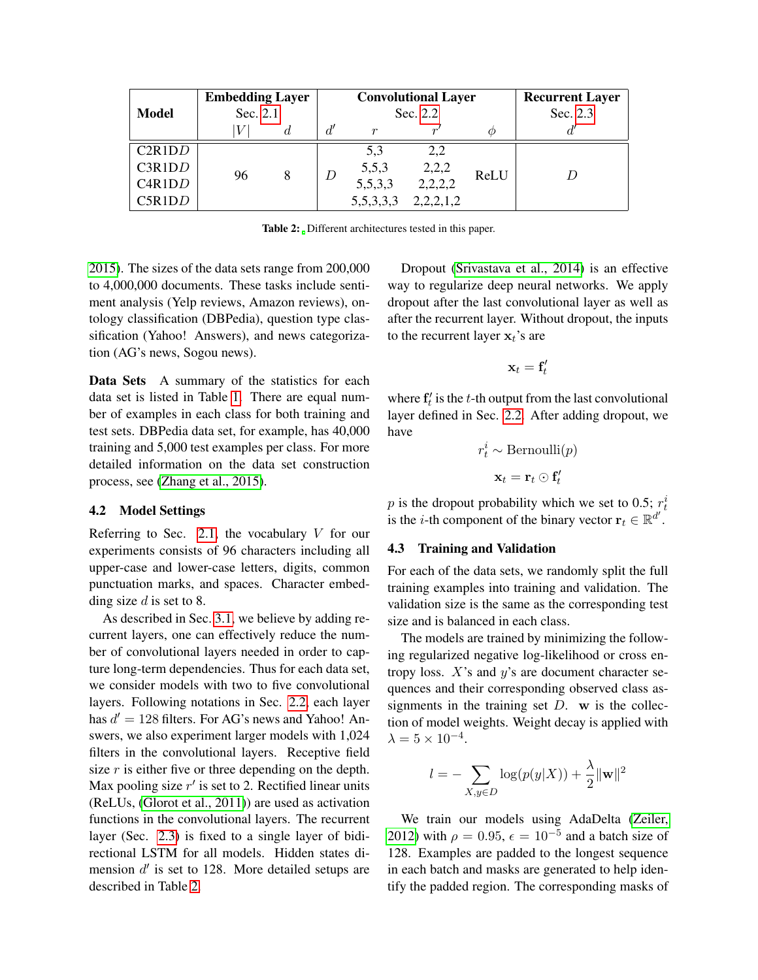|        | <b>Embedding Layer</b><br>Sec. 2.1 |    | <b>Convolutional Layer</b> |               |           |          | <b>Recurrent Layer</b> |  |
|--------|------------------------------------|----|----------------------------|---------------|-----------|----------|------------------------|--|
| Model  |                                    |    | Sec. 2.2                   |               |           | Sec. 2.3 |                        |  |
|        |                                    | a. | d'                         | r             |           | (/)      |                        |  |
| C2R1DD | 96                                 | 8  | D                          | 5,3           | 2,2       | ReLU     | D                      |  |
| C3R1DD |                                    |    |                            | 5,5,3         | 2,2,2     |          |                        |  |
| C4R1DD |                                    |    |                            | 5,5,3,3       | 2,2,2,2   |          |                        |  |
| C5R1DD |                                    |    |                            | 5, 5, 3, 3, 3 | 2,2,2,1,2 |          |                        |  |

<span id="page-5-0"></span>Table 2: Different architectures tested in this paper.

[2015\)](#page-9-0). The sizes of the data sets range from 200,000 to 4,000,000 documents. These tasks include sentiment analysis (Yelp reviews, Amazon reviews), ontology classification (DBPedia), question type classification (Yahoo! Answers), and news categorization (AG's news, Sogou news).

Data Sets A summary of the statistics for each data set is listed in Table [1.](#page-4-0) There are equal number of examples in each class for both training and test sets. DBPedia data set, for example, has 40,000 training and 5,000 test examples per class. For more detailed information on the data set construction process, see [\(Zhang et al., 2015\)](#page-9-0).

## 4.2 Model Settings

Referring to Sec. [2.1,](#page-1-1) the vocabulary  $V$  for our experiments consists of 96 characters including all upper-case and lower-case letters, digits, common punctuation marks, and spaces. Character embedding size  $d$  is set to 8.

As described in Sec. [3.1,](#page-3-1) we believe by adding recurrent layers, one can effectively reduce the number of convolutional layers needed in order to capture long-term dependencies. Thus for each data set, we consider models with two to five convolutional layers. Following notations in Sec. [2.2,](#page-1-0) each layer has  $d' = 128$  filters. For AG's news and Yahoo! Answers, we also experiment larger models with 1,024 filters in the convolutional layers. Receptive field size  $r$  is either five or three depending on the depth. Max pooling size  $r'$  is set to 2. Rectified linear units (ReLUs, [\(Glorot et al., 2011\)](#page-8-16)) are used as activation functions in the convolutional layers. The recurrent layer (Sec. [2.3\)](#page-2-0) is fixed to a single layer of bidirectional LSTM for all models. Hidden states dimension  $d'$  is set to 128. More detailed setups are described in Table [2.](#page-5-0)

Dropout [\(Srivastava et al., 2014\)](#page-8-17) is an effective way to regularize deep neural networks. We apply dropout after the last convolutional layer as well as after the recurrent layer. Without dropout, the inputs to the recurrent layer  $x_t$ 's are

$$
\mathbf{x}_t = \mathbf{f}'_t
$$

where  $f'_t$  is the t-th output from the last convolutional layer defined in Sec. [2.2.](#page-1-0) After adding dropout, we have

$$
r_t^i \sim \text{Bernoulli}(p)
$$

$$
\mathbf{x}_t = \mathbf{r}_t \odot \mathbf{f}_t'
$$

p is the dropout probability which we set to 0.5;  $r_t^i$ is the *i*-th component of the binary vector  $\mathbf{r}_t \in \mathbb{R}^{d'}$ .

#### 4.3 Training and Validation

For each of the data sets, we randomly split the full training examples into training and validation. The validation size is the same as the corresponding test size and is balanced in each class.

The models are trained by minimizing the following regularized negative log-likelihood or cross entropy loss.  $X$ 's and  $y$ 's are document character sequences and their corresponding observed class assignments in the training set  $D$ . w is the collection of model weights. Weight decay is applied with  $\lambda = 5 \times 10^{-4}$ .

$$
l = -\sum_{X,y \in D} \log(p(y|X)) + \frac{\lambda}{2} ||\mathbf{w}||^2
$$

We train our models using AdaDelta [\(Zeiler,](#page-8-18) [2012\)](#page-8-18) with  $\rho = 0.95$ ,  $\epsilon = 10^{-5}$  and a batch size of 128. Examples are padded to the longest sequence in each batch and masks are generated to help identify the padded region. The corresponding masks of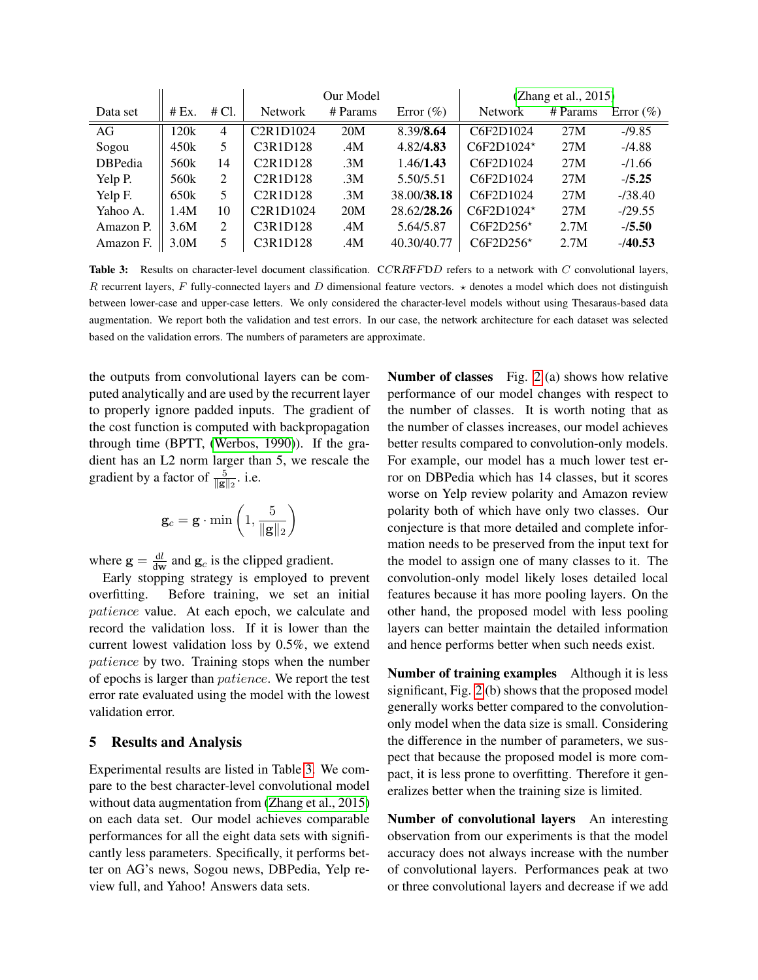|                |       |       | Our Model                                       |          |               | (Zhang et al., 2015) |          |               |  |
|----------------|-------|-------|-------------------------------------------------|----------|---------------|----------------------|----------|---------------|--|
| Data set       | # Ex. | # Cl. | <b>Network</b>                                  | # Params | Error $(\% )$ | <b>Network</b>       | # Params | Error $(\% )$ |  |
| AG             | 120k  | 4     | C <sub>2</sub> R <sub>1</sub> D <sub>1024</sub> | 20M      | 8.39/8.64     | C6F2D1024            | 27M      | $-19.85$      |  |
| Sogou          | 450k  | 5     | C3R1D128                                        | .4M      | 4.82/4.83     | $C6F2D1024*$         | 27M      | $-74.88$      |  |
| <b>DBPedia</b> | 560k  | 14    | C <sub>2</sub> R <sub>1</sub> D <sub>128</sub>  | .3M      | 1.46/1.43     | C6F2D1024            | 27M      | $-1.66$       |  |
| Yelp P.        | 560k  | 2     | C <sub>2</sub> R <sub>1</sub> D <sub>128</sub>  | .3M      | 5.50/5.51     | C6F2D1024            | 27M      | $-15.25$      |  |
| Yelp F.        | 650k  | 5     | C2R1D128                                        | .3M      | 38.00/38.18   | C6F2D1024            | 27M      | $-138.40$     |  |
| Yahoo A.       | 1.4M  | 10    | C <sub>2</sub> R <sub>1</sub> D <sub>1024</sub> | 20M      | 28.62/28.26   | $C6F2D1024*$         | 27M      | $-129.55$     |  |
| Amazon P.      | 3.6M  | 2     | C3R1D128                                        | .4M      | 5.64/5.87     | $C6F2D256*$          | 2.7M     | $-15.50$      |  |
| Amazon F.      | 3.0M  | 5     | C3R1D128                                        | .4M      | 40.30/40.77   | $C6F2D256*$          | 2.7M     | $-140.53$     |  |

<span id="page-6-0"></span>Table 3: Results on character-level document classification. CCRRFFDD refers to a network with C convolutional layers, R recurrent layers, F fully-connected layers and D dimensional feature vectors.  $\star$  denotes a model which does not distinguish between lower-case and upper-case letters. We only considered the character-level models without using Thesaraus-based data augmentation. We report both the validation and test errors. In our case, the network architecture for each dataset was selected based on the validation errors. The numbers of parameters are approximate.

the outputs from convolutional layers can be computed analytically and are used by the recurrent layer to properly ignore padded inputs. The gradient of the cost function is computed with backpropagation through time (BPTT, [\(Werbos, 1990\)](#page-8-19)). If the gradient has an L2 norm larger than 5, we rescale the gradient by a factor of  $\frac{5}{\|\mathbf{g}\|_2}$ . i.e.

$$
\mathbf{g}_c = \mathbf{g} \cdot \min\left(1, \frac{5}{\|\mathbf{g}\|_2}\right)
$$

where  $\mathbf{g} = \frac{\mathrm{d}l}{\mathrm{d}\mathbf{w}}$  $\frac{dl}{dw}$  and  $g_c$  is the clipped gradient.

Early stopping strategy is employed to prevent overfitting. Before training, we set an initial patience value. At each epoch, we calculate and record the validation loss. If it is lower than the current lowest validation loss by 0.5%, we extend patience by two. Training stops when the number of epochs is larger than patience. We report the test error rate evaluated using the model with the lowest validation error.

## 5 Results and Analysis

Experimental results are listed in Table [3.](#page-6-0) We compare to the best character-level convolutional model without data augmentation from [\(Zhang et al., 2015\)](#page-9-0) on each data set. Our model achieves comparable performances for all the eight data sets with significantly less parameters. Specifically, it performs better on AG's news, Sogou news, DBPedia, Yelp review full, and Yahoo! Answers data sets.

Number of classes Fig. [2](#page-7-0) (a) shows how relative performance of our model changes with respect to the number of classes. It is worth noting that as the number of classes increases, our model achieves better results compared to convolution-only models. For example, our model has a much lower test error on DBPedia which has 14 classes, but it scores worse on Yelp review polarity and Amazon review polarity both of which have only two classes. Our conjecture is that more detailed and complete information needs to be preserved from the input text for the model to assign one of many classes to it. The convolution-only model likely loses detailed local features because it has more pooling layers. On the other hand, the proposed model with less pooling layers can better maintain the detailed information and hence performs better when such needs exist.

Number of training examples Although it is less significant, Fig. [2](#page-7-0) (b) shows that the proposed model generally works better compared to the convolutiononly model when the data size is small. Considering the difference in the number of parameters, we suspect that because the proposed model is more compact, it is less prone to overfitting. Therefore it generalizes better when the training size is limited.

Number of convolutional layers An interesting observation from our experiments is that the model accuracy does not always increase with the number of convolutional layers. Performances peak at two or three convolutional layers and decrease if we add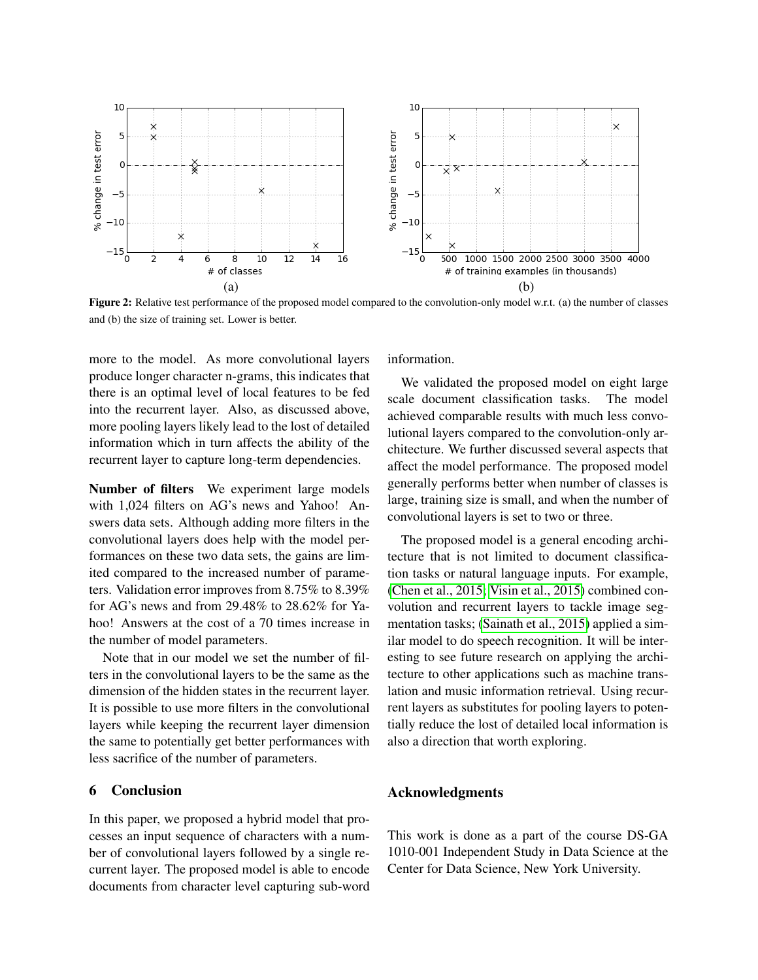

<span id="page-7-0"></span>Figure 2: Relative test performance of the proposed model compared to the convolution-only model w.r.t. (a) the number of classes and (b) the size of training set. Lower is better.

more to the model. As more convolutional layers produce longer character n-grams, this indicates that there is an optimal level of local features to be fed into the recurrent layer. Also, as discussed above, more pooling layers likely lead to the lost of detailed information which in turn affects the ability of the recurrent layer to capture long-term dependencies.

Number of filters We experiment large models with 1,024 filters on AG's news and Yahoo! Answers data sets. Although adding more filters in the convolutional layers does help with the model performances on these two data sets, the gains are limited compared to the increased number of parameters. Validation error improves from 8.75% to 8.39% for AG's news and from 29.48% to 28.62% for Yahoo! Answers at the cost of a 70 times increase in the number of model parameters.

Note that in our model we set the number of filters in the convolutional layers to be the same as the dimension of the hidden states in the recurrent layer. It is possible to use more filters in the convolutional layers while keeping the recurrent layer dimension the same to potentially get better performances with less sacrifice of the number of parameters.

## 6 Conclusion

In this paper, we proposed a hybrid model that processes an input sequence of characters with a number of convolutional layers followed by a single recurrent layer. The proposed model is able to encode documents from character level capturing sub-word information.

We validated the proposed model on eight large scale document classification tasks. The model achieved comparable results with much less convolutional layers compared to the convolution-only architecture. We further discussed several aspects that affect the model performance. The proposed model generally performs better when number of classes is large, training size is small, and when the number of convolutional layers is set to two or three.

The proposed model is a general encoding architecture that is not limited to document classification tasks or natural language inputs. For example, [\(Chen et al., 2015;](#page-8-20) [Visin et al., 2015\)](#page-8-21) combined convolution and recurrent layers to tackle image segmentation tasks; [\(Sainath et al., 2015\)](#page-8-22) applied a similar model to do speech recognition. It will be interesting to see future research on applying the architecture to other applications such as machine translation and music information retrieval. Using recurrent layers as substitutes for pooling layers to potentially reduce the lost of detailed local information is also a direction that worth exploring.

## Acknowledgments

This work is done as a part of the course DS-GA 1010-001 Independent Study in Data Science at the Center for Data Science, New York University.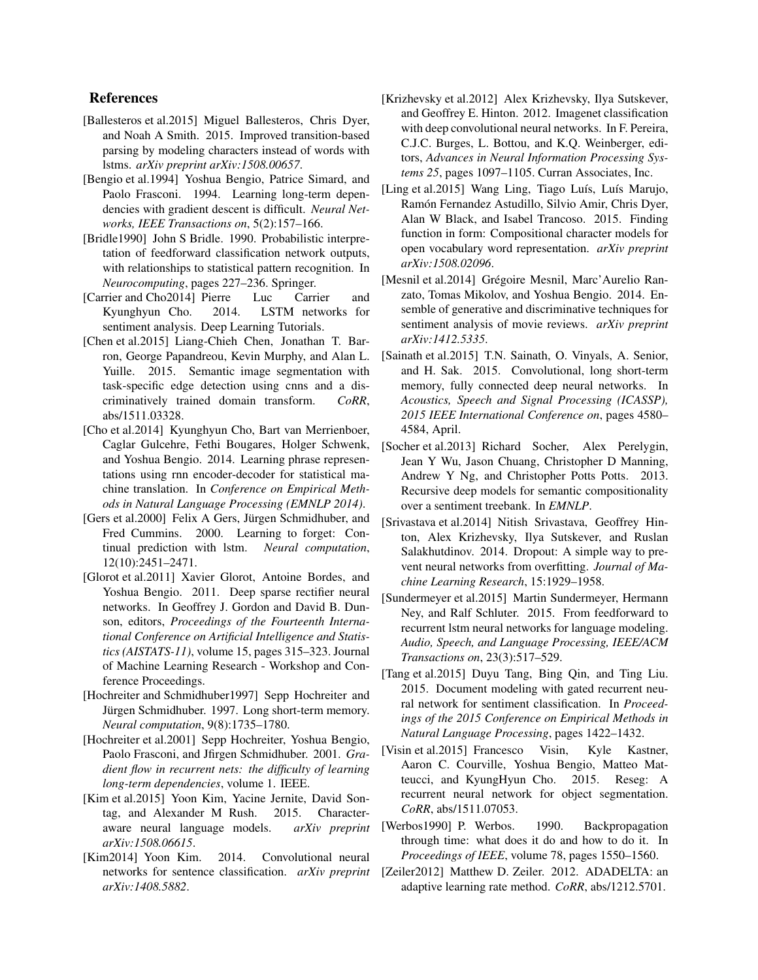## References

- <span id="page-8-6"></span>[Ballesteros et al.2015] Miguel Ballesteros, Chris Dyer, and Noah A Smith. 2015. Improved transition-based parsing by modeling characters instead of words with lstms. *arXiv preprint arXiv:1508.00657*.
- <span id="page-8-12"></span>[Bengio et al.1994] Yoshua Bengio, Patrice Simard, and Paolo Frasconi. 1994. Learning long-term dependencies with gradient descent is difficult. *Neural Networks, IEEE Transactions on*, 5(2):157–166.
- <span id="page-8-14"></span>[Bridle1990] John S Bridle. 1990. Probabilistic interpretation of feedforward classification network outputs, with relationships to statistical pattern recognition. In *Neurocomputing*, pages 227–236. Springer.
- <span id="page-8-3"></span>[Carrier and Cho2014] Pierre Luc Carrier and Kyunghyun Cho. 2014. LSTM networks for sentiment analysis. Deep Learning Tutorials.
- <span id="page-8-20"></span>[Chen et al.2015] Liang-Chieh Chen, Jonathan T. Barron, George Papandreou, Kevin Murphy, and Alan L. Yuille. 2015. Semantic image segmentation with task-specific edge detection using cnns and a discriminatively trained domain transform. *CoRR*, abs/1511.03328.
- <span id="page-8-8"></span>[Cho et al.2014] Kyunghyun Cho, Bart van Merrienboer, Caglar Gulcehre, Fethi Bougares, Holger Schwenk, and Yoshua Bengio. 2014. Learning phrase representations using rnn encoder-decoder for statistical machine translation. In *Conference on Empirical Methods in Natural Language Processing (EMNLP 2014)*.
- <span id="page-8-11"></span>[Gers et al. 2000] Felix A Gers, Jürgen Schmidhuber, and Fred Cummins. 2000. Learning to forget: Continual prediction with lstm. *Neural computation*, 12(10):2451–2471.
- <span id="page-8-16"></span>[Glorot et al.2011] Xavier Glorot, Antoine Bordes, and Yoshua Bengio. 2011. Deep sparse rectifier neural networks. In Geoffrey J. Gordon and David B. Dunson, editors, *Proceedings of the Fourteenth International Conference on Artificial Intelligence and Statistics (AISTATS-11)*, volume 15, pages 315–323. Journal of Machine Learning Research - Workshop and Conference Proceedings.
- <span id="page-8-10"></span>[Hochreiter and Schmidhuber1997] Sepp Hochreiter and Jürgen Schmidhuber. 1997. Long short-term memory. *Neural computation*, 9(8):1735–1780.
- <span id="page-8-13"></span>[Hochreiter et al.2001] Sepp Hochreiter, Yoshua Bengio, Paolo Frasconi, and Jfirgen Schmidhuber. 2001. *Gradient flow in recurrent nets: the difficulty of learning long-term dependencies*, volume 1. IEEE.
- <span id="page-8-4"></span>[Kim et al.2015] Yoon Kim, Yacine Jernite, David Sontag, and Alexander M Rush. 2015. Characteraware neural language models. *arXiv preprint arXiv:1508.06615*.
- <span id="page-8-0"></span>[Kim2014] Yoon Kim. 2014. Convolutional neural networks for sentence classification. *arXiv preprint arXiv:1408.5882*.
- <span id="page-8-7"></span>[Krizhevsky et al.2012] Alex Krizhevsky, Ilya Sutskever, and Geoffrey E. Hinton. 2012. Imagenet classification with deep convolutional neural networks. In F. Pereira, C.J.C. Burges, L. Bottou, and K.Q. Weinberger, editors, *Advances in Neural Information Processing Systems 25*, pages 1097–1105. Curran Associates, Inc.
- <span id="page-8-5"></span>[Ling et al.2015] Wang Ling, Tiago Luís, Luís Marujo, Ramón Fernandez Astudillo, Silvio Amir, Chris Dyer, Alan W Black, and Isabel Trancoso. 2015. Finding function in form: Compositional character models for open vocabulary word representation. *arXiv preprint arXiv:1508.02096*.
- <span id="page-8-1"></span>[Mesnil et al.2014] Grégoire Mesnil, Marc'Aurelio Ranzato, Tomas Mikolov, and Yoshua Bengio. 2014. Ensemble of generative and discriminative techniques for sentiment analysis of movie reviews. *arXiv preprint arXiv:1412.5335*.
- <span id="page-8-22"></span>[Sainath et al.2015] T.N. Sainath, O. Vinyals, A. Senior, and H. Sak. 2015. Convolutional, long short-term memory, fully connected deep neural networks. In *Acoustics, Speech and Signal Processing (ICASSP), 2015 IEEE International Conference on*, pages 4580– 4584, April.
- <span id="page-8-2"></span>[Socher et al.2013] Richard Socher, Alex Perelygin, Jean Y Wu, Jason Chuang, Christopher D Manning, Andrew Y Ng, and Christopher Potts Potts. 2013. Recursive deep models for semantic compositionality over a sentiment treebank. In *EMNLP*.
- <span id="page-8-17"></span>[Srivastava et al.2014] Nitish Srivastava, Geoffrey Hinton, Alex Krizhevsky, Ilya Sutskever, and Ruslan Salakhutdinov. 2014. Dropout: A simple way to prevent neural networks from overfitting. *Journal of Machine Learning Research*, 15:1929–1958.
- <span id="page-8-9"></span>[Sundermeyer et al.2015] Martin Sundermeyer, Hermann Ney, and Ralf Schluter. 2015. From feedforward to recurrent lstm neural networks for language modeling. *Audio, Speech, and Language Processing, IEEE/ACM Transactions on*, 23(3):517–529.
- <span id="page-8-15"></span>[Tang et al.2015] Duyu Tang, Bing Qin, and Ting Liu. 2015. Document modeling with gated recurrent neural network for sentiment classification. In *Proceedings of the 2015 Conference on Empirical Methods in Natural Language Processing*, pages 1422–1432.
- <span id="page-8-21"></span>[Visin et al.2015] Francesco Visin, Kyle Kastner, Aaron C. Courville, Yoshua Bengio, Matteo Matteucci, and KyungHyun Cho. 2015. Reseg: A recurrent neural network for object segmentation. *CoRR*, abs/1511.07053.
- <span id="page-8-19"></span>[Werbos1990] P. Werbos. 1990. Backpropagation through time: what does it do and how to do it. In *Proceedings of IEEE*, volume 78, pages 1550–1560.
- <span id="page-8-18"></span>[Zeiler2012] Matthew D. Zeiler. 2012. ADADELTA: an adaptive learning rate method. *CoRR*, abs/1212.5701.